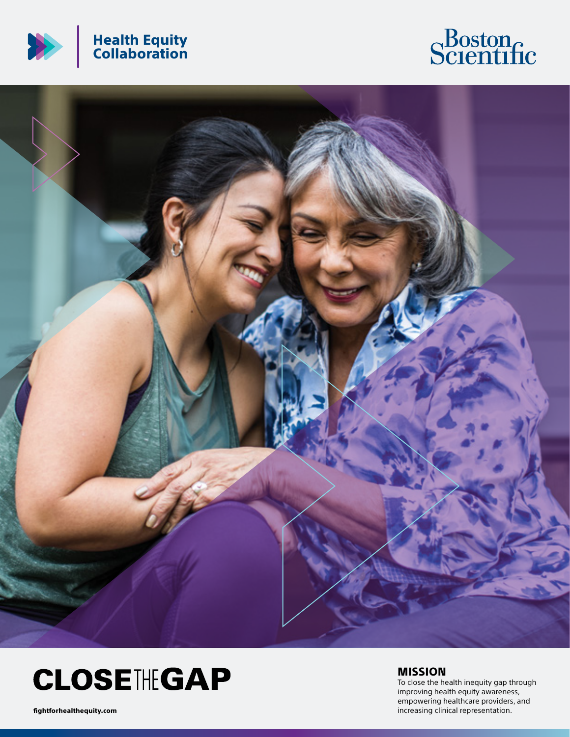





## **CLOSETHEGAP**

MISSION

To close the health inequity gap through improving health equity awareness, empowering healthcare providers, and fightforhealthequity.com increasing clinical representation.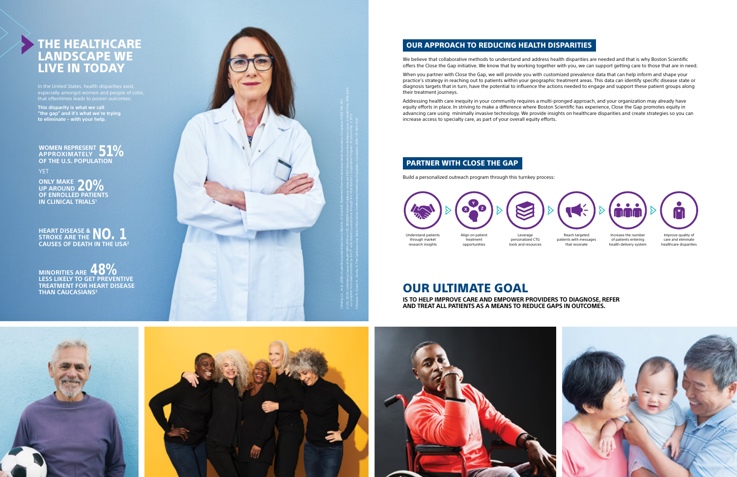Understand patients through market research insights

Reach targeted patients with messages that resonate



Increase the number of patients entering health delivery system







treatment opportunities









Leverage personalized CTG tools and resources

Improve quality of care and eliminate healthcare disparities

We believe that collaborative methods to understand and address health disparities are needed and that is why Boston Scientific offers the Close the Gap initiative. We know that by working together with you, we can support getting care to those that are in need.

When you partner with Close the Gap, we will provide you with customized prevalence data that can help inform and shape your practice's strategy in reaching out to patients within your geographic treatment areas. This data can identify specific disease state or diagnosis targets that in turn, have the potential to influence the actions needed to engage and support these patient groups along their treatment journeys.

Addressing health care inequity in your community requires a multi-pronged approach, and your organization may already have equity efforts in place. In striving to make a difference where Boston Scientific has experience, Close the Gap promotes equity in advancing care using minimally invasive technology. We provide insights on healthcare disparities and create strategies so you can increase access to specialty care, as part of your overall equity efforts.

OUR ULTIMATE GOAL

**IS TO HELP IMPROVE CARE AND EMPOWER PROVIDERS TO DIAGNOSE, REFER AND TREAT ALL PATIENTS AS A MEANS TO REDUCE GAPS IN OUTCOMES.**

Build a personalized outreach program through this turnkey process:



### OUR APPROACH TO REDUCING HEALTH DISPARITIES

## PARTNER WITH CLOSE THE GAP

# LANDSCAPE WE LIVE IN TODAY

**HEART DISEASE & STROKE ARE THE NO. 1 CAUSES OF DEATH IN THE USA 2**

**WOMEN REPRESENT**  WOMEN REPRESENT **51% OF THE U.S. POPULATION**

YET.

**ONLY MAKE** ONLY MAKE 20% **OF ENROLLED PATIENTS IN CLINICAL TRIALS 1**

**MINORITIES ARE 48% LESS LIKELY TO GET PREVENTIVE TREATMENT FOR HEART DISEASE THAN CAUCASIANS 3**

especially amongst women and people of color, that oftentimes leads to poorer outcomes.

**This disparity is what we call "the gap" and it's what we're trying to eliminate – with your help.**